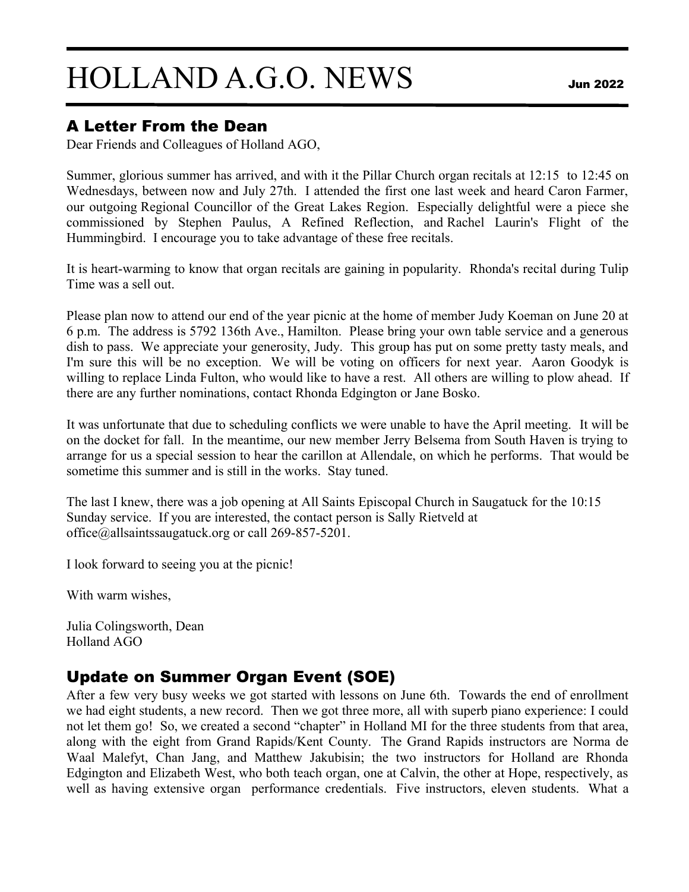# HOLLAND A.G.O. NEWSJun 2022

### A Letter From the Dean

Dear Friends and Colleagues of Holland AGO,

Summer, glorious summer has arrived, and with it the Pillar Church organ recitals at 12:15 to 12:45 on Wednesdays, between now and July 27th. I attended the first one last week and heard Caron Farmer, our outgoing Regional Councillor of the Great Lakes Region. Especially delightful were a piece she commissioned by Stephen Paulus, A Refined Reflection, and Rachel Laurin's Flight of the Hummingbird. I encourage you to take advantage of these free recitals.

It is heart-warming to know that organ recitals are gaining in popularity. Rhonda's recital during Tulip Time was a sell out.

Please plan now to attend our end of the year picnic at the home of member Judy Koeman on June 20 at 6 p.m. The address is 5792 136th Ave., Hamilton. Please bring your own table service and a generous dish to pass. We appreciate your generosity, Judy. This group has put on some pretty tasty meals, and I'm sure this will be no exception. We will be voting on officers for next year. Aaron Goodyk is willing to replace Linda Fulton, who would like to have a rest. All others are willing to plow ahead. If there are any further nominations, contact Rhonda Edgington or Jane Bosko.

It was unfortunate that due to scheduling conflicts we were unable to have the April meeting. It will be on the docket for fall. In the meantime, our new member Jerry Belsema from South Haven is trying to arrange for us a special session to hear the carillon at Allendale, on which he performs. That would be sometime this summer and is still in the works. Stay tuned.

The last I knew, there was a job opening at All Saints Episcopal Church in Saugatuck for the 10:15 Sunday service. If you are interested, the contact person is Sally Rietveld at office@allsaintssaugatuck.org or call 269-857-5201.

I look forward to seeing you at the picnic!

With warm wishes,

Julia Colingsworth, Dean Holland AGO

## Update on Summer Organ Event (SOE)

After a few very busy weeks we got started with lessons on June 6th. Towards the end of enrollment we had eight students, a new record. Then we got three more, all with superb piano experience: I could not let them go! So, we created a second "chapter" in Holland MI for the three students from that area, along with the eight from Grand Rapids/Kent County. The Grand Rapids instructors are Norma de Waal Malefyt, Chan Jang, and Matthew Jakubisin; the two instructors for Holland are Rhonda Edgington and Elizabeth West, who both teach organ, one at Calvin, the other at Hope, respectively, as well as having extensive organ performance credentials. Five instructors, eleven students. What a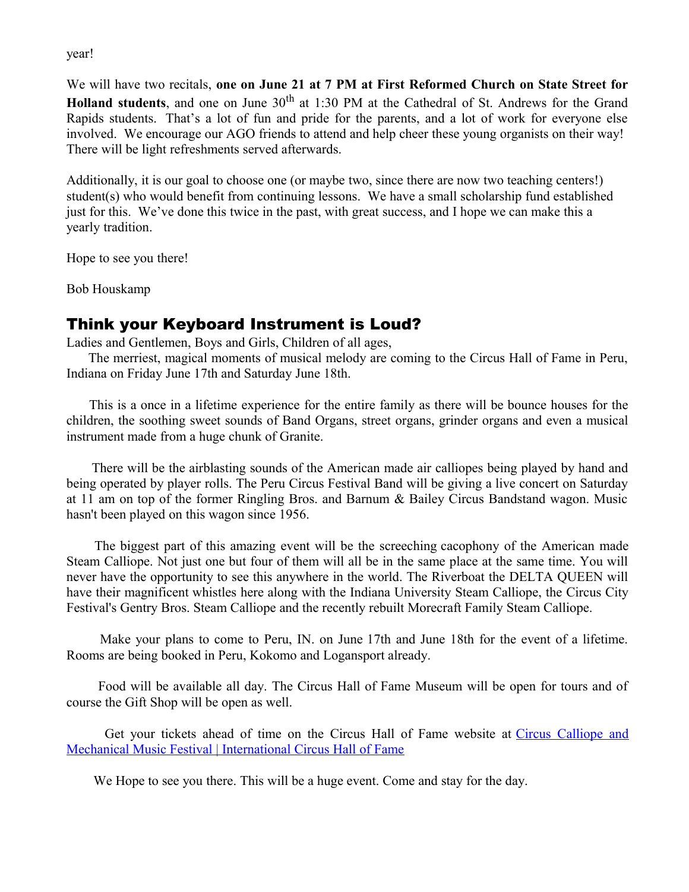year!

We will have two recitals, **one on June 21 at 7 PM at First Reformed Church on State Street for Holland students**, and one on June 30<sup>th</sup> at 1:30 PM at the Cathedral of St. Andrews for the Grand Rapids students. That's a lot of fun and pride for the parents, and a lot of work for everyone else involved. We encourage our AGO friends to attend and help cheer these young organists on their way! There will be light refreshments served afterwards.

Additionally, it is our goal to choose one (or maybe two, since there are now two teaching centers!) student(s) who would benefit from continuing lessons. We have a small scholarship fund established just for this. We've done this twice in the past, with great success, and I hope we can make this a yearly tradition.

Hope to see you there!

Bob Houskamp

### Think your Keyboard Instrument is Loud?

Ladies and Gentlemen, Boys and Girls, Children of all ages,

 The merriest, magical moments of musical melody are coming to the Circus Hall of Fame in Peru, Indiana on Friday June 17th and Saturday June 18th.

 This is a once in a lifetime experience for the entire family as there will be bounce houses for the children, the soothing sweet sounds of Band Organs, street organs, grinder organs and even a musical instrument made from a huge chunk of Granite.

There will be the airblasting sounds of the American made air calliopes being played by hand and being operated by player rolls. The Peru Circus Festival Band will be giving a live concert on Saturday at 11 am on top of the former Ringling Bros. and Barnum & Bailey Circus Bandstand wagon. Music hasn't been played on this wagon since 1956.

The biggest part of this amazing event will be the screeching cacophony of the American made Steam Calliope. Not just one but four of them will all be in the same place at the same time. You will never have the opportunity to see this anywhere in the world. The Riverboat the DELTA QUEEN will have their magnificent whistles here along with the Indiana University Steam Calliope, the Circus City Festival's Gentry Bros. Steam Calliope and the recently rebuilt Morecraft Family Steam Calliope.

 Make your plans to come to Peru, IN. on June 17th and June 18th for the event of a lifetime. Rooms are being booked in Peru, Kokomo and Logansport already.

 Food will be available all day. The Circus Hall of Fame Museum will be open for tours and of course the Gift Shop will be open as well.

Get your tickets ahead of time on the Circus Hall of Fame website at [Circus Calliope and](https://nam12.safelinks.protection.outlook.com/?url=http%3A%2F%2Fcircushalloffame.com%2Fcircus-calliope-and-mechanical-music-festival%2F&data=05%7C01%7C%7C23dab2256b184199203008da3d2e76cd%7C84df9e7fe9f640afb435aaaaaaaaaaaa%7C1%7C0%7C637889567037853464%7CUnknown%7CTWFpbGZsb3d8eyJWIjoiMC4wLjAwMDAiLCJQIjoiV2luMzIiLCJBTiI6Ik1haWwiLCJXVCI6Mn0%3D%7C3000%7C%7C%7C&sdata=%2Fd%2FoDE%2BaflP%2B4JPG4Pp3A%2Bgx%2B9R1tQrrQXqYc7%2BHWgg%3D&reserved=0) [Mechanical Music Festival | International Circus Hall of Fame](https://nam12.safelinks.protection.outlook.com/?url=http%3A%2F%2Fcircushalloffame.com%2Fcircus-calliope-and-mechanical-music-festival%2F&data=05%7C01%7C%7C23dab2256b184199203008da3d2e76cd%7C84df9e7fe9f640afb435aaaaaaaaaaaa%7C1%7C0%7C637889567037853464%7CUnknown%7CTWFpbGZsb3d8eyJWIjoiMC4wLjAwMDAiLCJQIjoiV2luMzIiLCJBTiI6Ik1haWwiLCJXVCI6Mn0%3D%7C3000%7C%7C%7C&sdata=%2Fd%2FoDE%2BaflP%2B4JPG4Pp3A%2Bgx%2B9R1tQrrQXqYc7%2BHWgg%3D&reserved=0)

We Hope to see you there. This will be a huge event. Come and stay for the day.